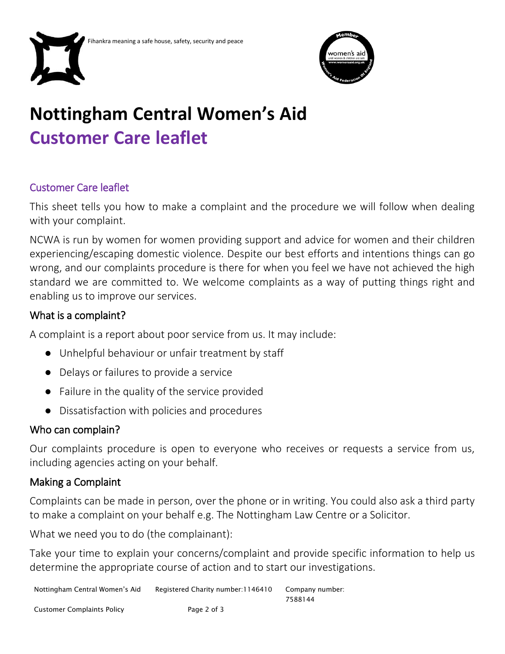



# **Nottingham Central Women's Aid Customer Care leaflet**

# Customer Care leaflet

This sheet tells you how to make a complaint and the procedure we will follow when dealing with your complaint.

NCWA is run by women for women providing support and advice for women and their children experiencing/escaping domestic violence. Despite our best efforts and intentions things can go wrong, and our complaints procedure is there for when you feel we have not achieved the high standard we are committed to. We welcome complaints as a way of putting things right and enabling us to improve our services.

# What is a complaint?

A complaint is a report about poor service from us. It may include:

- Unhelpful behaviour or unfair treatment by staff
- Delays or failures to provide a service
- Failure in the quality of the service provided
- Dissatisfaction with policies and procedures

#### Who can complain?

Our complaints procedure is open to everyone who receives or requests a service from us, including agencies acting on your behalf.

# Making a Complaint

Complaints can be made in person, over the phone or in writing. You could also ask a third party to make a complaint on your behalf e.g. The Nottingham Law Centre or a Solicitor.

What we need you to do (the complainant):

Take your time to explain your concerns/complaint and provide specific information to help us determine the appropriate course of action and to start our investigations.

Nottingham Central Women's Aid Registered Charity number:1146410 Company number: 7588144

Customer Complaints Policy **Page 2 of 3**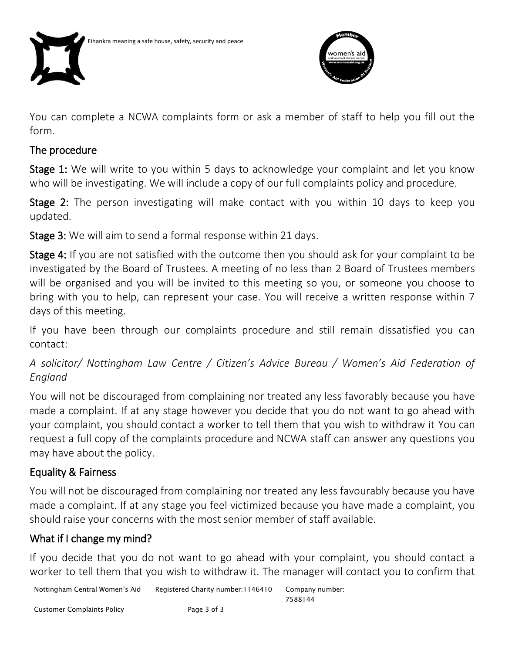



You can complete a NCWA complaints form or ask a member of staff to help you fill out the form.

#### The procedure

Stage 1: We will write to you within 5 days to acknowledge your complaint and let you know who will be investigating. We will include a copy of our full complaints policy and procedure.

Stage 2: The person investigating will make contact with you within 10 days to keep you updated.

Stage 3: We will aim to send a formal response within 21 days.

Stage 4: If you are not satisfied with the outcome then you should ask for your complaint to be investigated by the Board of Trustees. A meeting of no less than 2 Board of Trustees members will be organised and you will be invited to this meeting so you, or someone you choose to bring with you to help, can represent your case. You will receive a written response within 7 days of this meeting.

If you have been through our complaints procedure and still remain dissatisfied you can contact:

*A solicitor/ Nottingham Law Centre / Citizen's Advice Bureau / Women's Aid Federation of England*

You will not be discouraged from complaining nor treated any less favorably because you have made a complaint. If at any stage however you decide that you do not want to go ahead with your complaint, you should contact a worker to tell them that you wish to withdraw it You can request a full copy of the complaints procedure and NCWA staff can answer any questions you may have about the policy.

# Equality & Fairness

You will not be discouraged from complaining nor treated any less favourably because you have made a complaint. If at any stage you feel victimized because you have made a complaint, you should raise your concerns with the most senior member of staff available.

# What if I change my mind?

If you decide that you do not want to go ahead with your complaint, you should contact a worker to tell them that you wish to withdraw it. The manager will contact you to confirm that

Nottingham Central Women's Aid Registered Charity number:1146410 Company number: